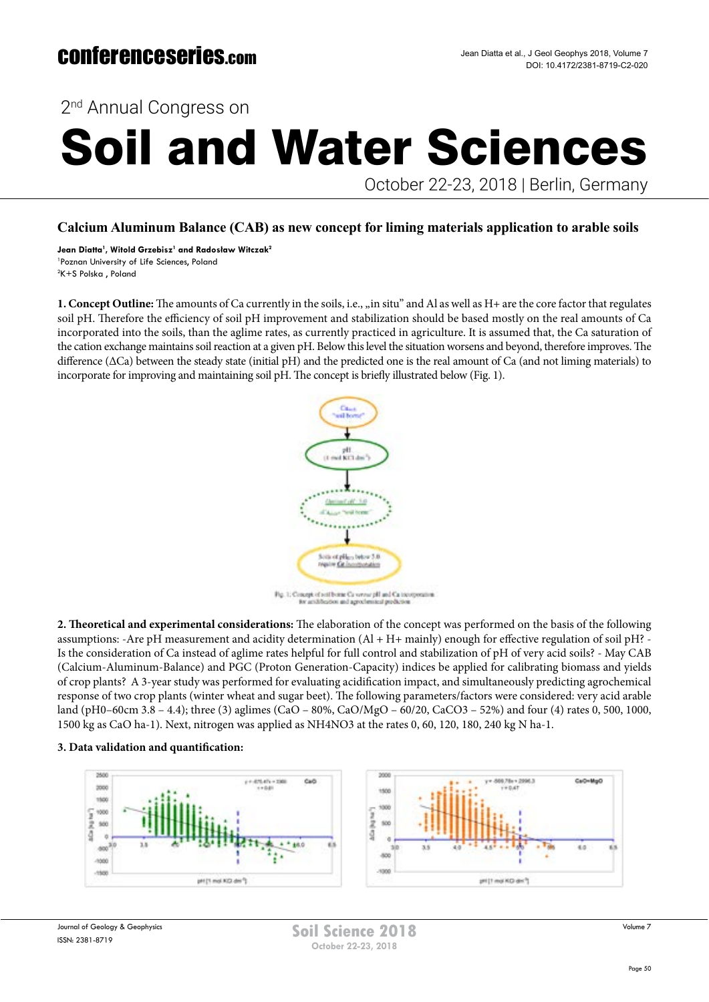## October 22-23, 2018 | Berlin, Germany 2<sup>nd</sup> Annual Congress on Soil and Water Sciences

**Calcium Aluminum Balance (CAB) as new concept for liming materials application to arable soils**

**Jean Diatta1 , Witold Grzebisz1 and Radosław Witczak<sup>2</sup>** 1 Poznan University of Life Sciences, Poland 2 K+S Polska , Poland

**1. Concept Outline:** The amounts of Ca currently in the soils, i.e., <sub>n</sub> in situ" and Al as well as H+ are the core factor that regulates soil pH. Therefore the efficiency of soil pH improvement and stabilization should be based mostly on the real amounts of Ca incorporated into the soils, than the aglime rates, as currently practiced in agriculture. It is assumed that, the Ca saturation of the cation exchange maintains soil reaction at a given pH. Below this level the situation worsens and beyond, therefore improves. The difference (∆Ca) between the steady state (initial pH) and the predicted one is the real amount of Ca (and not liming materials) to incorporate for improving and maintaining soil pH. The concept is briefly illustrated below (Fig. 1).



st and agreeds

**2. Theoretical and experimental considerations:** The elaboration of the concept was performed on the basis of the following assumptions: -Are pH measurement and acidity determination (Al + H+ mainly) enough for effective regulation of soil pH? - Is the consideration of Ca instead of aglime rates helpful for full control and stabilization of pH of very acid soils? - May CAB (Calcium-Aluminum-Balance) and PGC (Proton Generation-Capacity) indices be applied for calibrating biomass and yields of crop plants? A 3-year study was performed for evaluating acidification impact, and simultaneously predicting agrochemical response of two crop plants (winter wheat and sugar beet). The following parameters/factors were considered: very acid arable land (pH0–60cm 3.8 – 4.4); three (3) aglimes (CaO – 80%, CaO/MgO – 60/20, CaCO3 – 52%) and four (4) rates 0, 500, 1000, 1500 kg as CaO ha-1). Next, nitrogen was applied as NH4NO3 at the rates 0, 60, 120, 180, 240 kg N ha-1.

### **3. Data validation and quantification:**